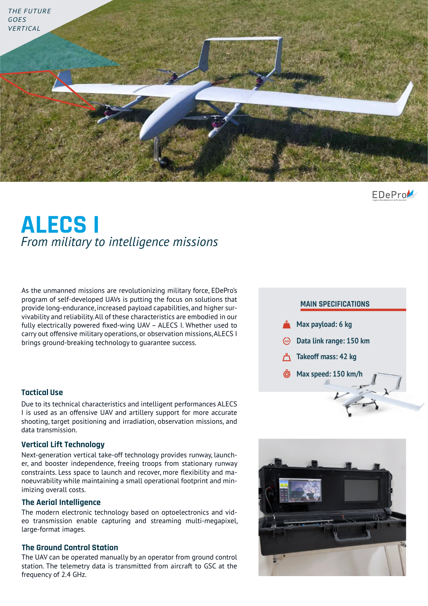

EDePro

# **ALECS I** *From military to intelligence missions*

As the unmanned missions are revolutionizing military force, EDePro's program of self-developed UAVs is putting the focus on solutions that provide long-endurance, increased payload capabilities, and higher survivability and reliability. All of these characteristics are embodied in our fully electrically powered fixed-wing UAV – ALECS I. Whether used to carry out offensive military operations, or observation missions, ALECS I brings ground-breaking technology to guarantee success.

### **Tactical Use**

Due to its technical characteristics and intelligent performances ALECS I is used as an offensive UAV and artillery support for more accurate shooting, target positioning and irradiation, observation missions, and data transmission.

#### **Vertical Lift Technology**

Next-generation vertical take-off technology provides runway, launcher, and booster independence, freeing troops from stationary runway constraints. Less space to launch and recover, more flexibility and manoeuvrability while maintaining a small operational footprint and minimizing overall costs.

#### **The Aerial Intelligence**

The modern electronic technology based on optoelectronics and video transmission enable capturing and streaming multi-megapixel, large-format images.

#### **The Ground Control Station**

The UAV can be operated manually by an operator from ground control station. The telemetry data is transmitted from aircraft to GSC at the frequency of 2.4 GHz.